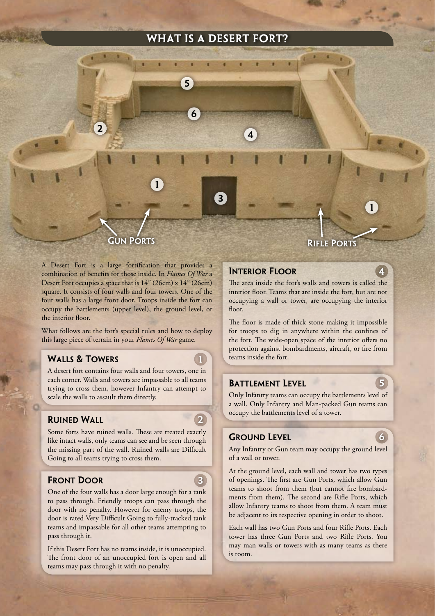## WHAT IS A DESERT FORT?



A Desert Fort is a large fortification that provides a combination of benefits for those inside. In *Flames Of War* a Desert Fort occupies a space that is 14" (26cm) x 14" (26cm) square. It consists of four walls and four towers. One of the four walls has a large front door. Troops inside the fort can occupy the battlements (upper level), the ground level, or the interior floor.

What follows are the fort's special rules and how to deploy this large piece of terrain in your *Flames Of War* game.

## Walls & Towers

A desert fort contains four walls and four towers, one in each corner. Walls and towers are impassable to all teams trying to cross them, however Infantry can attempt to scale the walls to assault them directly.

## Ruined Wall

2

1

3

Some forts have ruined walls. These are treated exactly like intact walls, only teams can see and be seen through the missing part of the wall. Ruined walls are Difficult Going to all teams trying to cross them.

## Front Door

One of the four walls has a door large enough for a tank to pass through. Friendly troops can pass through the door with no penalty. However for enemy troops, the door is rated Very Difficult Going to fully-tracked tank teams and impassable for all other teams attempting to pass through it.

If this Desert Fort has no teams inside, it is unoccupied. The front door of an unoccupied fort is open and all teams may pass through it with no penalty.

1

4

## Interior Floor

The area inside the fort's walls and towers is called the interior floor. Teams that are inside the fort, but are not occupying a wall or tower, are occupying the interior floor.

The floor is made of thick stone making it impossible for troops to dig in anywhere within the confines of the fort. The wide-open space of the interior offers no protection against bombardments, aircraft, or fire from teams inside the fort.

## BATTLEMENT LEVEL

Only Infantry teams can occupy the battlements level of a wall. Only Infantry and Man-packed Gun teams can occupy the battlements level of a tower.

## **GROUND LEVEL**



5

Any Infantry or Gun team may occupy the ground level of a wall or tower.

At the ground level, each wall and tower has two types of openings. The first are Gun Ports, which allow Gun teams to shoot from them (but cannot fire bombardments from them). The second are Rifle Ports, which allow Infantry teams to shoot from them. A team must be adjacent to its respective opening in order to shoot.

Each wall has two Gun Ports and four Rifle Ports. Each tower has three Gun Ports and two Rifle Ports. You may man walls or towers with as many teams as there is room.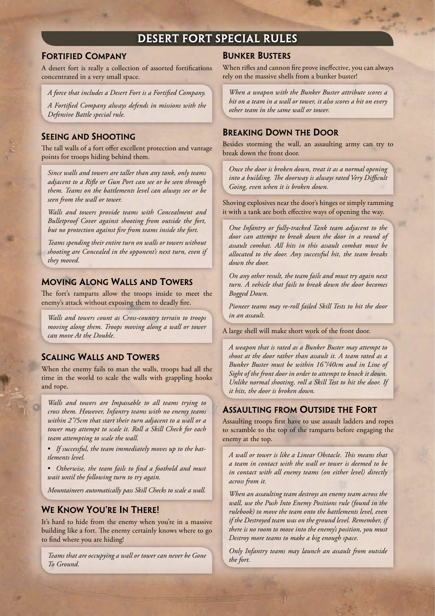# Desert Fort Special Rules

#### Fortified Company

A desert fort is really a collection of assorted fortifications concentrated in a very small space.

*A force that includes a Desert Fort is a Fortified Company.*

*A Fortified Company always defends in missions with the Defensive Battle special rule.*

## Seeing and Shooting

The tall walls of a fort offer excellent protection and vantage points for troops hiding behind them.

*Since walls and towers are taller than any tank, only teams adjacent to a Rifle or Gun Port can see or be seen through them. Teams on the battlements level can always see or be seen from the wall or tower.*

*Walls and towers provide teams with Concealment and Bulletproof Cover against shooting from outside the fort, but no protection against fire from teams inside the fort.* 

*Teams spending their entire turn on walls or towers without shooting are Concealed in the opponent's next turn, even if they moved.* 

## Moving Along Walls and Towers

The fort's ramparts allow the troops inside to meet the enemy's attack without exposing them to deadly fire.

*Walls and towers count as Cross-country terrain to troops moving along them. Troops moving along a wall or tower can move At the Double.*

## Scaling Walls and Towers

When the enemy fails to man the walls, troops had all the time in the world to scale the walls with grappling hooks and rope.

*Walls and towers are Impassable to all teams trying to cross them. However, Infantry teams with no enemy teams within 2"/5cm that start their turn adjacent to a wall or a tower may attempt to scale it. Roll a Skill Check for each team attempting to scale the wall.* 

*If successful, the team immediately moves up to the bat-• tlements level.* 

*Otherwise, the team fails to find a foothold and must • wait until the following turn to try again.* 

*Mountaineers automatically pass Skill Checks to scale a wall.*

## WE KNOW YOU'RE IN THERE!

It's hard to hide from the enemy when you're in a massive building like a fort. The enemy certainly knows where to go to find where you are hiding!

*Teams that are occupying a wall or tower can never be Gone To Ground.* 

#### Bunker Busters

When rifles and cannon fire prove ineffective, you can always rely on the massive shells from a bunker buster!

*When a weapon with the Bunker Buster attribute scores a hit on a team in a wall or tower, it also scores a hit on every other team in the same wall or tower.* 

## Breaking Down the Door

Besides storming the wall, an assaulting army can try to break down the front door.

*Once the door is broken down, treat it as a normal opening into a building. The doorway is always rated Very Difficult Going, even when it is broken down.*

Shoving explosives near the door's hinges or simply ramming it with a tank are both effective ways of opening the way.

*One Infantry or fully-tracked Tank team adjacent to the door can attempt to break down the door in a round of assault combat. All hits in this assault combat must be allocated to the door. Any successful hit, the team breaks down the door.*

*On any other result, the team fails and must try again next turn. A vehicle that fails to break down the door becomes Bogged Down.*

*Pioneer teams may re-roll failed Skill Tests to hit the door in an assault.*

A large shell will make short work of the front door.

*A weapon that is rated as a Bunker Buster may attempt to shoot at the door rather than assault it. A team rated as a Bunker Buster must be within 16"/40cm and in Line of Sight of the front door in order to attempt to knock it down. Unlike normal shooting, roll a Skill Test to hit the door. If it hits, the door is broken down.*

#### Assaulting from Outside the Fort

Assaulting troops first have to use assault ladders and ropes to scramble to the top of the ramparts before engaging the enemy at the top.

*A wall or tower is like a Linear Obstacle. This means that a team in contact with the wall or tower is deemed to be in contact with all enemy teams (on either level) directly across from it.*

*When an assaulting team destroys an enemy team across the wall, use the Push Into Enemy Positions rule (found in the rulebook) to move the team onto the battlements level, even if the Destroyed team was on the ground level. Remember, if there is no room to move into the enemy's position, you must Destroy more teams to make a big enough space.*

*Only Infantry teams may launch an assault from outside the fort.*